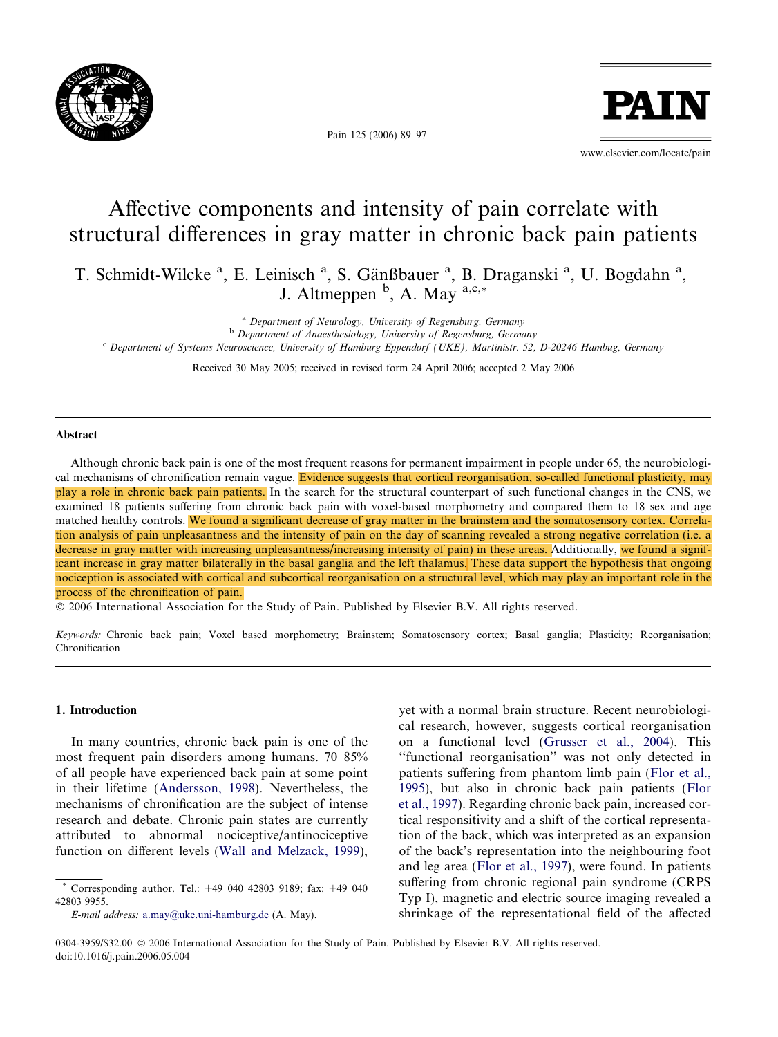

Pain 125 (2006) 89–97

**PATT** 

www.elsevier.com/locate/pain

# Affective components and intensity of pain correlate with structural differences in gray matter in chronic back pain patients

T. Schmidt-Wilcke<sup>a</sup>, E. Leinisch<sup>a</sup>, S. Gänßbauer<sup>a</sup>, B. Draganski<sup>a</sup>, U. Bogdahn<sup>a</sup>, J. Altmeppen  $<sup>b</sup>$ , A. May  $<sup>a,c,*</sup>$ </sup></sup>

<sup>a</sup> Department of Neurology, University of Regensburg, Germany

<sup>b</sup> Department of Anaesthesiology, University of Regensburg, Germany

<sup>c</sup> Department of Systems Neuroscience, University of Hamburg Eppendorf (UKE), Martinistr. 52, D-20246 Hambug, Germany

Received 30 May 2005; received in revised form 24 April 2006; accepted 2 May 2006

#### Abstract

Although chronic back pain is one of the most frequent reasons for permanent impairment in people under 65, the neurobiological mechanisms of chronification remain vague. Evidence suggests that cortical reorganisation, so-called functional plasticity, may play a role in chronic back pain patients. In the search for the structural counterpart of such functional changes in the CNS, we examined 18 patients suffering from chronic back pain with voxel-based morphometry and compared them to 18 sex and age matched healthy controls. We found a significant decrease of gray matter in the brainstem and the somatosensory cortex. Correlation analysis of pain unpleasantness and the intensity of pain on the day of scanning revealed a strong negative correlation (i.e. a decrease in gray matter with increasing unpleasantness/increasing intensity of pain) in these areas. Additionally, we found a significant increase in gray matter bilaterally in the basal ganglia and the left thalamus. These data support the hypothesis that ongoing nociception is associated with cortical and subcortical reorganisation on a structural level, which may play an important role in the process of the chronification of pain.

- 2006 International Association for the Study of Pain. Published by Elsevier B.V. All rights reserved.

Keywords: Chronic back pain; Voxel based morphometry; Brainstem; Somatosensory cortex; Basal ganglia; Plasticity; Reorganisation; Chronification

## 1. Introduction

In many countries, chronic back pain is one of the most frequent pain disorders among humans. 70–85% of all people have experienced back pain at some point in their lifetime ([Andersson, 1998](#page-7-0)). Nevertheless, the mechanisms of chronification are the subject of intense research and debate. Chronic pain states are currently attributed to abnormal nociceptive/antinociceptive function on different levels ([Wall and Melzack, 1999\)](#page-8-0),

E-mail address: [a.may@uke.uni-hamburg.de](mailto:a.may@uke.uni-hamburg.de) (A. May).

yet with a normal brain structure. Recent neurobiological research, however, suggests cortical reorganisation on a functional level ([Grusser et al., 2004\)](#page-7-0). This ''functional reorganisation'' was not only detected in patients suffering from phantom limb pain ([Flor et al.,](#page-7-0) [1995](#page-7-0)), but also in chronic back pain patients ([Flor](#page-7-0) [et al., 1997\)](#page-7-0). Regarding chronic back pain, increased cortical responsitivity and a shift of the cortical representation of the back, which was interpreted as an expansion of the back's representation into the neighbouring foot and leg area [\(Flor et al., 1997\)](#page-7-0), were found. In patients suffering from chronic regional pain syndrome (CRPS Typ I), magnetic and electric source imaging revealed a shrinkage of the representational field of the affected

<sup>\*</sup> Corresponding author. Tel.: +49 040 42803 9189; fax: +49 040 42803 9955.

<sup>0304-3959/\$32.00 © 2006</sup> International Association for the Study of Pain. Published by Elsevier B.V. All rights reserved. doi:10.1016/j.pain.2006.05.004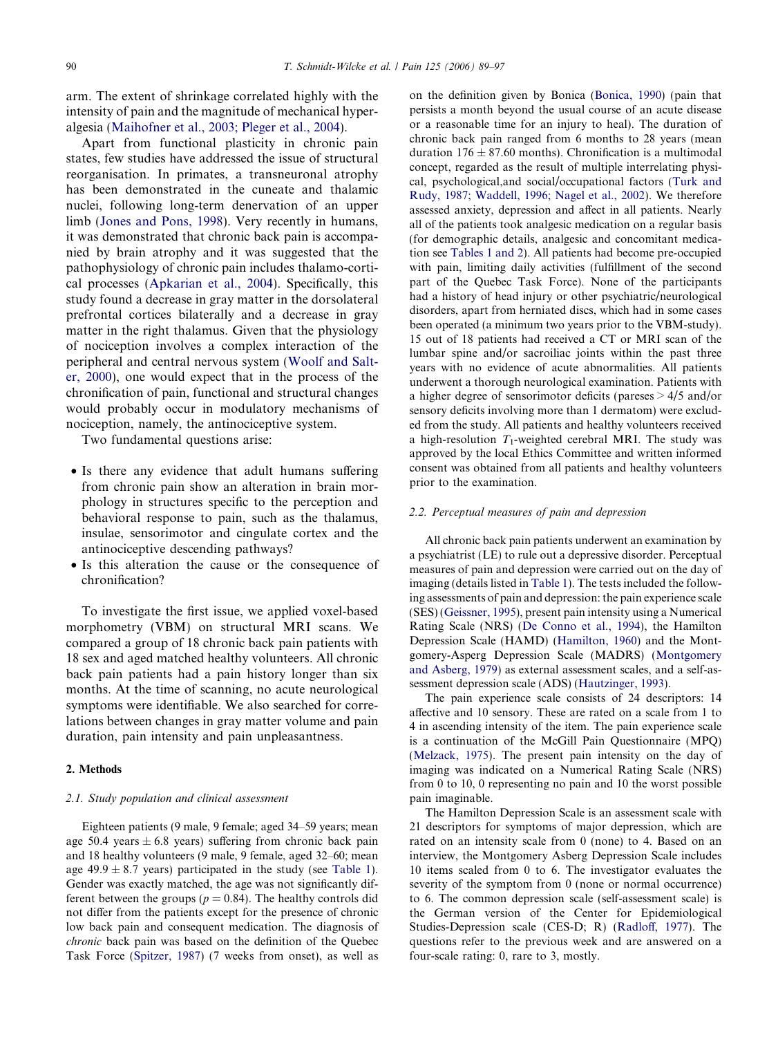arm. The extent of shrinkage correlated highly with the intensity of pain and the magnitude of mechanical hyperalgesia [\(Maihofner et al., 2003; Pleger et al., 2004](#page-8-0)).

Apart from functional plasticity in chronic pain states, few studies have addressed the issue of structural reorganisation. In primates, a transneuronal atrophy has been demonstrated in the cuneate and thalamic nuclei, following long-term denervation of an upper limb ([Jones and Pons, 1998\)](#page-7-0). Very recently in humans, it was demonstrated that chronic back pain is accompanied by brain atrophy and it was suggested that the pathophysiology of chronic pain includes thalamo-cortical processes [\(Apkarian et al., 2004](#page-7-0)). Specifically, this study found a decrease in gray matter in the dorsolateral prefrontal cortices bilaterally and a decrease in gray matter in the right thalamus. Given that the physiology of nociception involves a complex interaction of the peripheral and central nervous system ([Woolf and Salt](#page-8-0)[er, 2000\)](#page-8-0), one would expect that in the process of the chronification of pain, functional and structural changes would probably occur in modulatory mechanisms of nociception, namely, the antinociceptive system.

Two fundamental questions arise:

- Is there any evidence that adult humans suffering from chronic pain show an alteration in brain morphology in structures specific to the perception and behavioral response to pain, such as the thalamus, insulae, sensorimotor and cingulate cortex and the antinociceptive descending pathways?
- Is this alteration the cause or the consequence of chronification?

To investigate the first issue, we applied voxel-based morphometry (VBM) on structural MRI scans. We compared a group of 18 chronic back pain patients with 18 sex and aged matched healthy volunteers. All chronic back pain patients had a pain history longer than six months. At the time of scanning, no acute neurological symptoms were identifiable. We also searched for correlations between changes in gray matter volume and pain duration, pain intensity and pain unpleasantness.

#### 2. Methods

#### 2.1. Study population and clinical assessment

Eighteen patients (9 male, 9 female; aged 34–59 years; mean age 50.4 years  $\pm$  6.8 years) suffering from chronic back pain and 18 healthy volunteers (9 male, 9 female, aged 32–60; mean age  $49.9 \pm 8.7$  years) participated in the study (see [Table 1](#page-2-0)). Gender was exactly matched, the age was not significantly different between the groups ( $p = 0.84$ ). The healthy controls did not differ from the patients except for the presence of chronic low back pain and consequent medication. The diagnosis of chronic back pain was based on the definition of the Quebec Task Force ([Spitzer, 1987](#page-8-0)) (7 weeks from onset), as well as

on the definition given by Bonica [\(Bonica, 1990](#page-7-0)) (pain that persists a month beyond the usual course of an acute disease or a reasonable time for an injury to heal). The duration of chronic back pain ranged from 6 months to 28 years (mean duration  $176 \pm 87.60$  months). Chronification is a multimodal concept, regarded as the result of multiple interrelating physical, psychological,and social/occupational factors [\(Turk and](#page-8-0) [Rudy, 1987; Waddell, 1996; Nagel et al., 2002\)](#page-8-0). We therefore assessed anxiety, depression and affect in all patients. Nearly all of the patients took analgesic medication on a regular basis (for demographic details, analgesic and concomitant medication see [Tables 1 and 2\)](#page-2-0). All patients had become pre-occupied with pain, limiting daily activities (fulfillment of the second part of the Quebec Task Force). None of the participants had a history of head injury or other psychiatric/neurological disorders, apart from herniated discs, which had in some cases been operated (a minimum two years prior to the VBM-study). 15 out of 18 patients had received a CT or MRI scan of the lumbar spine and/or sacroiliac joints within the past three years with no evidence of acute abnormalities. All patients underwent a thorough neurological examination. Patients with a higher degree of sensorimotor deficits (pareses > 4/5 and/or sensory deficits involving more than 1 dermatom) were excluded from the study. All patients and healthy volunteers received a high-resolution  $T_1$ -weighted cerebral MRI. The study was approved by the local Ethics Committee and written informed consent was obtained from all patients and healthy volunteers prior to the examination.

#### 2.2. Perceptual measures of pain and depression

All chronic back pain patients underwent an examination by a psychiatrist (LE) to rule out a depressive disorder. Perceptual measures of pain and depression were carried out on the day of imaging (details listed in [Table 1\)](#page-2-0). The tests included the following assessments of pain and depression: the pain experience scale (SES) [\(Geissner, 1995](#page-7-0)), present pain intensity using a Numerical Rating Scale (NRS) ([De Conno et al., 1994](#page-7-0)), the Hamilton Depression Scale (HAMD) ([Hamilton, 1960\)](#page-7-0) and the Montgomery-Asperg Depression Scale (MADRS) [\(Montgomery](#page-8-0) [and Asberg, 1979](#page-8-0)) as external assessment scales, and a self-assessment depression scale (ADS) ([Hautzinger, 1993\)](#page-7-0).

The pain experience scale consists of 24 descriptors: 14 affective and 10 sensory. These are rated on a scale from 1 to 4 in ascending intensity of the item. The pain experience scale is a continuation of the McGill Pain Questionnaire (MPQ) ([Melzack, 1975](#page-8-0)). The present pain intensity on the day of imaging was indicated on a Numerical Rating Scale (NRS) from 0 to 10, 0 representing no pain and 10 the worst possible pain imaginable.

The Hamilton Depression Scale is an assessment scale with 21 descriptors for symptoms of major depression, which are rated on an intensity scale from 0 (none) to 4. Based on an interview, the Montgomery Asberg Depression Scale includes 10 items scaled from 0 to 6. The investigator evaluates the severity of the symptom from 0 (none or normal occurrence) to 6. The common depression scale (self-assessment scale) is the German version of the Center for Epidemiological Studies-Depression scale (CES-D; R) ([Radloff, 1977](#page-8-0)). The questions refer to the previous week and are answered on a four-scale rating: 0, rare to 3, mostly.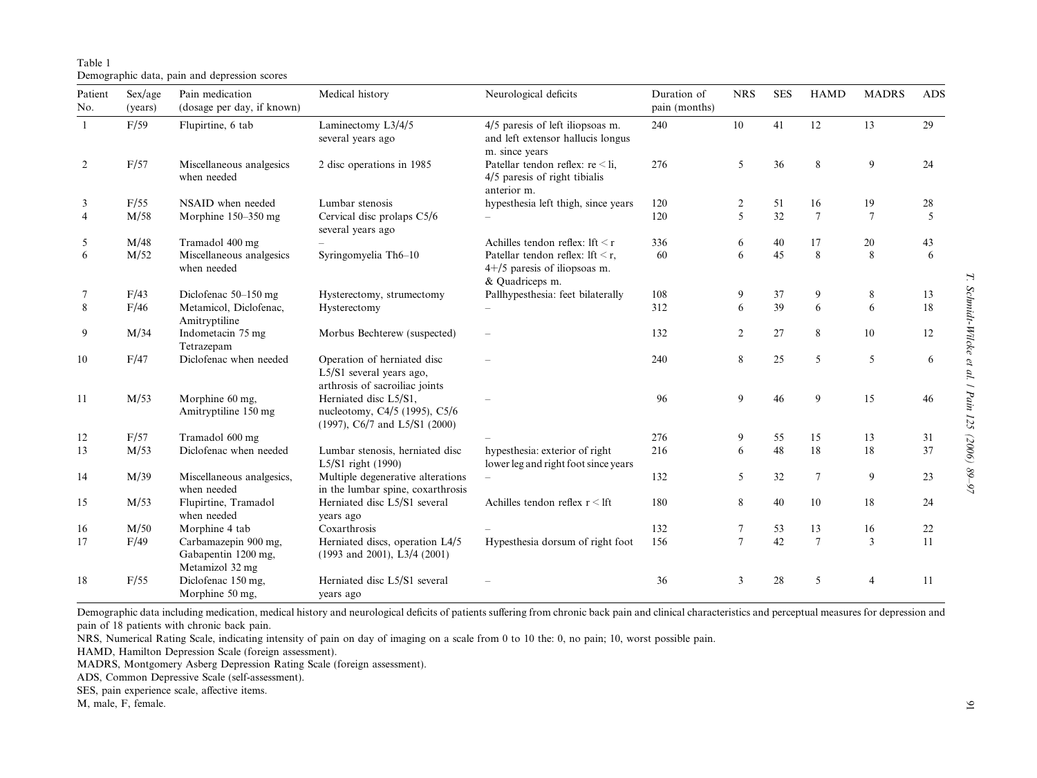## <span id="page-2-0"></span>Table 1Demographic data, pain and depression scores

| Patient<br>No. | Sex/age<br>(years) | Pain medication<br>(dosage per day, if known)                  | Medical history                                                                            | Neurological deficits<br>Duration of<br>pain (months)<br>4/5 paresis of left iliopsoas m.<br>240<br>and left extensor hallucis longus<br>m. since years |     | <b>NRS</b>              | <b>SES</b> | <b>HAMD</b>     | <b>MADRS</b> | <b>ADS</b> |
|----------------|--------------------|----------------------------------------------------------------|--------------------------------------------------------------------------------------------|---------------------------------------------------------------------------------------------------------------------------------------------------------|-----|-------------------------|------------|-----------------|--------------|------------|
| $\mathbf{1}$   | F/59               | Flupirtine, 6 tab                                              | Laminectomy L3/4/5<br>several years ago                                                    |                                                                                                                                                         |     | 10                      | 41         | 12              | 13           | 29         |
| 2              | F/57               | Miscellaneous analgesics<br>when needed                        | 2 disc operations in 1985                                                                  | Patellar tendon reflex: $re < li$ ,<br>4/5 paresis of right tibialis<br>anterior m.                                                                     | 276 | 5                       | 36         | 8               | 9            | 24         |
| 3              | F/55               | NSAID when needed                                              | Lumbar stenosis                                                                            | hypesthesia left thigh, since years                                                                                                                     | 120 | 2                       | 51         | 16              | 19           | 28         |
| $\overline{4}$ | M/58               | Morphine 150-350 mg                                            | Cervical disc prolaps C5/6<br>several years ago                                            |                                                                                                                                                         | 120 | $\overline{\mathbf{5}}$ | 32         | $7\phantom{.0}$ | $\tau$       | 5          |
| 5              | M/48               | Tramadol 400 mg                                                |                                                                                            | Achilles tendon reflex: lft $\leq r$                                                                                                                    | 336 | 6                       | 40         | 17              | 20           | 43         |
| 6              | M/52               | Miscellaneous analgesics<br>when needed                        | Syringomyelia Th6-10                                                                       | Patellar tendon reflex: lft $\leq r$ ,<br>4+/5 paresis of iliopsoas m.<br>& Quadriceps m.                                                               | 60  | 6                       | 45         | 8               | 8            | 6          |
| 7              | F/43               | Diclofenac 50–150 mg                                           | Hysterectomy, strumectomy                                                                  | Pallhypesthesia: feet bilaterally                                                                                                                       | 108 | 9                       | 37         | 9               | 8            | 13         |
| 8              | F/46               | Metamicol, Diclofenac,<br>Amitryptiline                        | Hysterectomy                                                                               |                                                                                                                                                         | 312 | 6                       | 39         | 6               | 6            | 18         |
| 9              | M/34               | Indometacin 75 mg<br>Tetrazepam                                | Morbus Bechterew (suspected)                                                               |                                                                                                                                                         | 132 | $\overline{c}$          | $27\,$     | 8               | 10           | 12         |
| 10             | F/47               | Diclofenac when needed                                         | Operation of herniated disc<br>L5/S1 several years ago,<br>arthrosis of sacroiliac joints  |                                                                                                                                                         | 240 | 8                       | 25         | 5               | 5            | 6          |
| 11             | M/53               | Morphine 60 mg,<br>Amitryptiline 150 mg                        | Herniated disc L5/S1,<br>nucleotomy, C4/5 (1995), C5/6<br>$(1997)$ , C6/7 and L5/S1 (2000) |                                                                                                                                                         | 96  | 9                       | 46         | 9               | 15           | 46         |
| 12             | F/57               | Tramadol 600 mg                                                |                                                                                            |                                                                                                                                                         | 276 | 9                       | 55         | 15              | 13           | 31         |
| 13             | M/53               | Diclofenac when needed                                         | Lumbar stenosis, herniated disc<br>L5/S1 right (1990)                                      | hypesthesia: exterior of right<br>lower leg and right foot since years                                                                                  | 216 | 6                       | 48         | 18              | 18           | 37         |
| 14             | M/39               | Miscellaneous analgesics,<br>when needed                       | Multiple degenerative alterations<br>in the lumbar spine, coxarthrosis                     |                                                                                                                                                         | 132 | 5                       | 32         | $7\phantom{.0}$ | 9            | 23         |
| 15             | M/53               | Flupirtine, Tramadol<br>when needed                            | Herniated disc L5/S1 several<br>years ago                                                  | Achilles tendon reflex $r \leq l$ ft                                                                                                                    | 180 | 8                       | 40         | 10              | 18           | 24         |
| 16             | M/50               | Morphine 4 tab                                                 | Coxarthrosis                                                                               |                                                                                                                                                         | 132 | 7                       | 53         | 13              | 16           | 22         |
| 17             | F/49               | Carbamazepin 900 mg,<br>Gabapentin 1200 mg,<br>Metamizol 32 mg | Herniated discs, operation L4/5<br>$(1993$ and 2001), L3/4 $(2001)$                        | Hypesthesia dorsum of right foot                                                                                                                        | 156 | $\overline{7}$          | 42         | $\overline{7}$  | 3            | 11         |
| 18             | F/55               | Diclofenac 150 mg,<br>Morphine 50 mg,                          | Herniated disc L5/S1 several<br>years ago                                                  |                                                                                                                                                         | 36  | 3                       | 28         | 5               | 4            | 11         |

Demographic data including medication, medical history and neurological deficits of patients suffering from chronic back pain and clinical characteristics and perceptual measures for depression and pain of 18 patients with chronic back pain.

NRS, Numerical Rating Scale, indicating intensity of pain on day of imaging on <sup>a</sup> scale from 0 to 10 the: 0, no pain; 10, worst possible pain.

HAMD, Hamilton Depression Scale (foreign assessment).

MADRS, Montgomery Asberg Depression Rating Scale (foreign assessment).

ADS, Common Depressive Scale (self-assessment).

SES, pain experience scale, affective items.

M, male, F, female.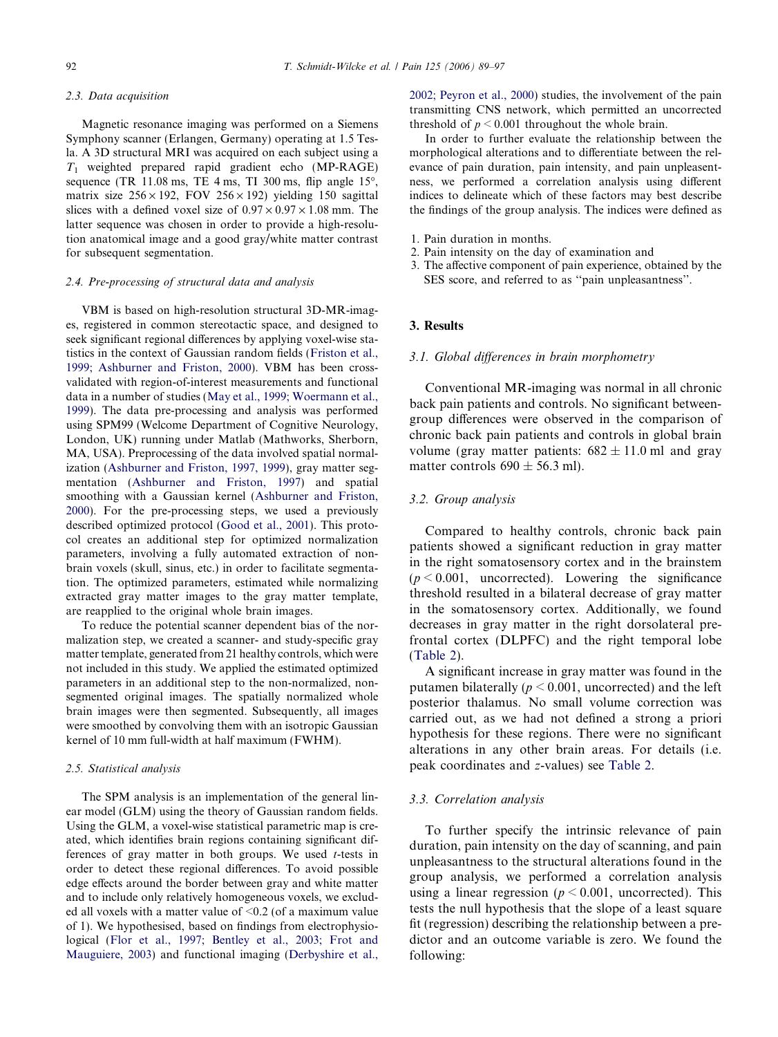#### 2.3. Data acquisition

Magnetic resonance imaging was performed on a Siemens Symphony scanner (Erlangen, Germany) operating at 1.5 Tesla. A 3D structural MRI was acquired on each subject using a  $T_1$  weighted prepared rapid gradient echo (MP-RAGE) sequence (TR  $11.08$  ms, TE 4 ms, TI 300 ms, flip angle 15 $^{\circ}$ , matrix size  $256 \times 192$ , FOV  $256 \times 192$ ) yielding 150 sagittal slices with a defined voxel size of  $0.97 \times 0.97 \times 1.08$  mm. The latter sequence was chosen in order to provide a high-resolution anatomical image and a good gray/white matter contrast for subsequent segmentation.

#### 2.4. Pre-processing of structural data and analysis

VBM is based on high-resolution structural 3D-MR-images, registered in common stereotactic space, and designed to seek significant regional differences by applying voxel-wise statistics in the context of Gaussian random fields ([Friston et al.,](#page-7-0) [1999; Ashburner and Friston, 2000\)](#page-7-0). VBM has been crossvalidated with region-of-interest measurements and functional data in a number of studies ([May et al., 1999; Woermann et al.,](#page-8-0) [1999\)](#page-8-0). The data pre-processing and analysis was performed using SPM99 (Welcome Department of Cognitive Neurology, London, UK) running under Matlab (Mathworks, Sherborn, MA, USA). Preprocessing of the data involved spatial normalization ([Ashburner and Friston, 1997, 1999\)](#page-7-0), gray matter segmentation [\(Ashburner and Friston, 1997](#page-7-0)) and spatial smoothing with a Gaussian kernel [\(Ashburner and Friston,](#page-7-0) [2000\)](#page-7-0). For the pre-processing steps, we used a previously described optimized protocol [\(Good et al., 2001](#page-7-0)). This protocol creates an additional step for optimized normalization parameters, involving a fully automated extraction of nonbrain voxels (skull, sinus, etc.) in order to facilitate segmentation. The optimized parameters, estimated while normalizing extracted gray matter images to the gray matter template, are reapplied to the original whole brain images.

To reduce the potential scanner dependent bias of the normalization step, we created a scanner- and study-specific gray matter template, generated from 21 healthy controls, which were not included in this study. We applied the estimated optimized parameters in an additional step to the non-normalized, nonsegmented original images. The spatially normalized whole brain images were then segmented. Subsequently, all images were smoothed by convolving them with an isotropic Gaussian kernel of 10 mm full-width at half maximum (FWHM).

#### 2.5. Statistical analysis

The SPM analysis is an implementation of the general linear model (GLM) using the theory of Gaussian random fields. Using the GLM, a voxel-wise statistical parametric map is created, which identifies brain regions containing significant differences of gray matter in both groups. We used  $t$ -tests in order to detect these regional differences. To avoid possible edge effects around the border between gray and white matter and to include only relatively homogeneous voxels, we excluded all voxels with a matter value of  $\leq 0.2$  (of a maximum value of 1). We hypothesised, based on findings from electrophysiological [\(Flor et al., 1997; Bentley et al., 2003; Frot and](#page-7-0) [Mauguiere, 2003](#page-7-0)) and functional imaging [\(Derbyshire et al.,](#page-7-0) [2002; Peyron et al., 2000](#page-7-0)) studies, the involvement of the pain transmitting CNS network, which permitted an uncorrected threshold of  $p \le 0.001$  throughout the whole brain.

In order to further evaluate the relationship between the morphological alterations and to differentiate between the relevance of pain duration, pain intensity, and pain unpleasentness, we performed a correlation analysis using different indices to delineate which of these factors may best describe the findings of the group analysis. The indices were defined as

- 1. Pain duration in months.
- 2. Pain intensity on the day of examination and
- 3. The affective component of pain experience, obtained by the SES score, and referred to as ''pain unpleasantness''.

#### 3. Results

#### 3.1. Global differences in brain morphometry

Conventional MR-imaging was normal in all chronic back pain patients and controls. No significant betweengroup differences were observed in the comparison of chronic back pain patients and controls in global brain volume (gray matter patients:  $682 \pm 11.0$  ml and gray matter controls  $690 \pm 56.3$  ml).

### 3.2. Group analysis

Compared to healthy controls, chronic back pain patients showed a significant reduction in gray matter in the right somatosensory cortex and in the brainstem  $(p < 0.001$ , uncorrected). Lowering the significance threshold resulted in a bilateral decrease of gray matter in the somatosensory cortex. Additionally, we found decreases in gray matter in the right dorsolateral prefrontal cortex (DLPFC) and the right temporal lobe ([Table 2\)](#page-4-0).

A significant increase in gray matter was found in the putamen bilaterally ( $p \le 0.001$ , uncorrected) and the left posterior thalamus. No small volume correction was carried out, as we had not defined a strong a priori hypothesis for these regions. There were no significant alterations in any other brain areas. For details (i.e. peak coordinates and z-values) see [Table 2.](#page-4-0)

## 3.3. Correlation analysis

To further specify the intrinsic relevance of pain duration, pain intensity on the day of scanning, and pain unpleasantness to the structural alterations found in the group analysis, we performed a correlation analysis using a linear regression ( $p \le 0.001$ , uncorrected). This tests the null hypothesis that the slope of a least square fit (regression) describing the relationship between a predictor and an outcome variable is zero. We found the following: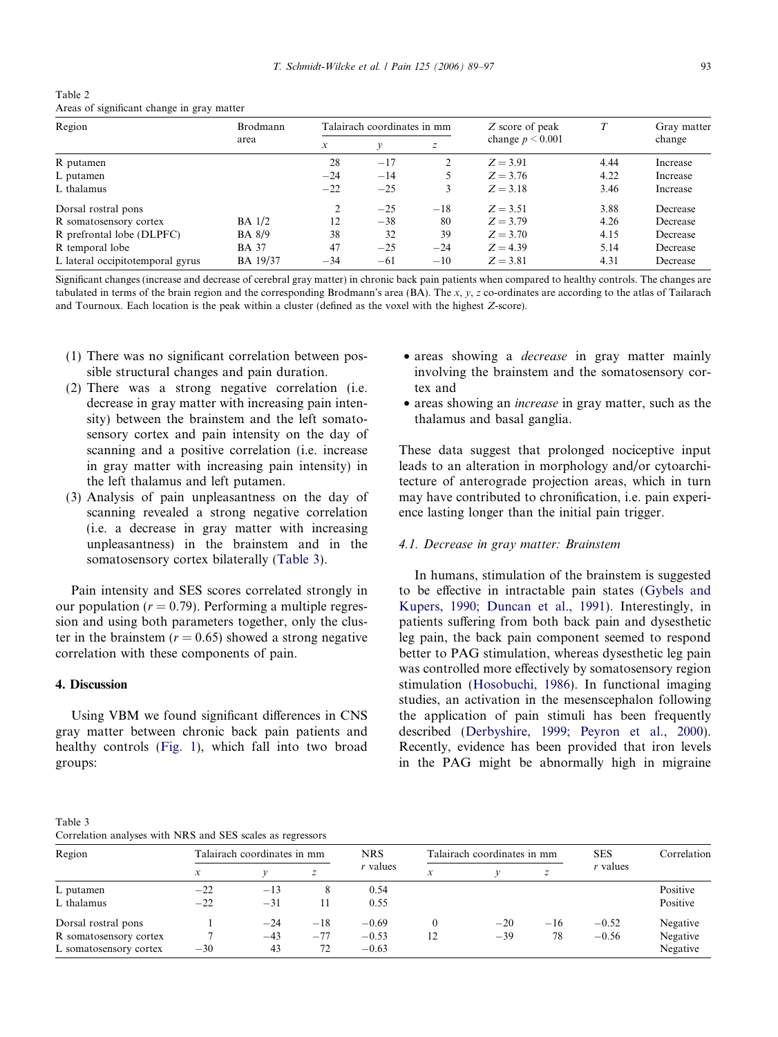<span id="page-4-0"></span>

| Table 2                                    |  |  |
|--------------------------------------------|--|--|
| Areas of significant change in gray matter |  |  |

| Region                           | Brodmann        | Talairach coordinates in mm |       |       | Z score of peak      | T    | Gray matter |
|----------------------------------|-----------------|-----------------------------|-------|-------|----------------------|------|-------------|
|                                  | area            | $\mathcal{X}$               |       |       | change $p \le 0.001$ |      | change      |
| R putamen                        |                 | 28                          | $-17$ |       | $Z = 3.91$           | 4.44 | Increase    |
| L putamen                        |                 | $-24$                       | $-14$ |       | $Z = 3.76$           | 4.22 | Increase    |
| L thalamus                       |                 | $-22$                       | $-25$ | 3     | $Z = 3.18$           | 3.46 | Increase    |
| Dorsal rostral pons              |                 | 2                           | $-25$ | $-18$ | $Z = 3.51$           | 3.88 | Decrease    |
| R somatosensory cortex           | $BA$ 1/2        | 12                          | $-38$ | 80    | $Z = 3.79$           | 4.26 | Decrease    |
| R prefrontal lobe (DLPFC)        | <b>BA</b> 8/9   | 38                          | 32    | 39    | $Z = 3.70$           | 4.15 | Decrease    |
| R temporal lobe                  | <b>BA</b> 37    | 47                          | $-25$ | $-24$ | $Z = 4.39$           | 5.14 | Decrease    |
| L lateral occipitotemporal gyrus | <b>BA</b> 19/37 | $-34$                       | $-61$ | $-10$ | $Z = 3.81$           | 4.31 | Decrease    |

Significant changes (increase and decrease of cerebral gray matter) in chronic back pain patients when compared to healthy controls. The changes are tabulated in terms of the brain region and the corresponding Brodmann's area (BA). The x, y, z co-ordinates are according to the atlas of Tailarach and Tournoux. Each location is the peak within a cluster (defined as the voxel with the highest Z-score).

- (1) There was no significant correlation between possible structural changes and pain duration.
- (2) There was a strong negative correlation (i.e. decrease in gray matter with increasing pain intensity) between the brainstem and the left somatosensory cortex and pain intensity on the day of scanning and a positive correlation (i.e. increase in gray matter with increasing pain intensity) in the left thalamus and left putamen.
- (3) Analysis of pain unpleasantness on the day of scanning revealed a strong negative correlation (i.e. a decrease in gray matter with increasing unpleasantness) in the brainstem and in the somatosensory cortex bilaterally (Table 3).

Pain intensity and SES scores correlated strongly in our population ( $r = 0.79$ ). Performing a multiple regression and using both parameters together, only the cluster in the brainstem ( $r = 0.65$ ) showed a strong negative correlation with these components of pain.

#### 4. Discussion

Using VBM we found significant differences in CNS gray matter between chronic back pain patients and healthy controls ([Fig. 1\)](#page-5-0), which fall into two broad groups:

- areas showing a *decrease* in gray matter mainly involving the brainstem and the somatosensory cortex and
- areas showing an increase in gray matter, such as the thalamus and basal ganglia.

These data suggest that prolonged nociceptive input leads to an alteration in morphology and/or cytoarchitecture of anterograde projection areas, which in turn may have contributed to chronification, i.e. pain experience lasting longer than the initial pain trigger.

# 4.1. Decrease in gray matter: Brainstem

In humans, stimulation of the brainstem is suggested to be effective in intractable pain states ([Gybels and](#page-7-0) [Kupers, 1990; Duncan et al., 1991\)](#page-7-0). Interestingly, in patients suffering from both back pain and dysesthetic leg pain, the back pain component seemed to respond better to PAG stimulation, whereas dysesthetic leg pain was controlled more effectively by somatosensory region stimulation [\(Hosobuchi, 1986\)](#page-7-0). In functional imaging studies, an activation in the mesenscephalon following the application of pain stimuli has been frequently described ([Derbyshire, 1999; Peyron et al., 2000\)](#page-7-0). Recently, evidence has been provided that iron levels in the PAG might be abnormally high in migraine

Table 3 Correlation analyses with NRS and SES scales as regressors

| Correlation analyses with types and SES searcs as regressors |                             |       |       |            |                             |       |       |            |             |
|--------------------------------------------------------------|-----------------------------|-------|-------|------------|-----------------------------|-------|-------|------------|-------------|
| Region                                                       | Talairach coordinates in mm |       |       | <b>NRS</b> | Talairach coordinates in mm |       |       | <b>SES</b> | Correlation |
|                                                              | x                           |       |       | $r$ values | $\mathbf{v}$<br>А           |       | z     | r values   |             |
| L putamen                                                    | $-22$                       | $-13$ |       | 0.54       |                             |       |       |            | Positive    |
| L thalamus                                                   | $-22$                       | $-31$ |       | 0.55       |                             |       |       |            | Positive    |
| Dorsal rostral pons                                          |                             | $-24$ | $-18$ | $-0.69$    |                             | $-20$ | $-16$ | $-0.52$    | Negative    |
| R somatosensory cortex                                       |                             | $-43$ | $-77$ | $-0.53$    | 12                          | $-39$ | 78    | $-0.56$    | Negative    |
| L somatosensory cortex                                       | $-30$                       | 43    | 72    | $-0.63$    |                             |       |       |            | Negative    |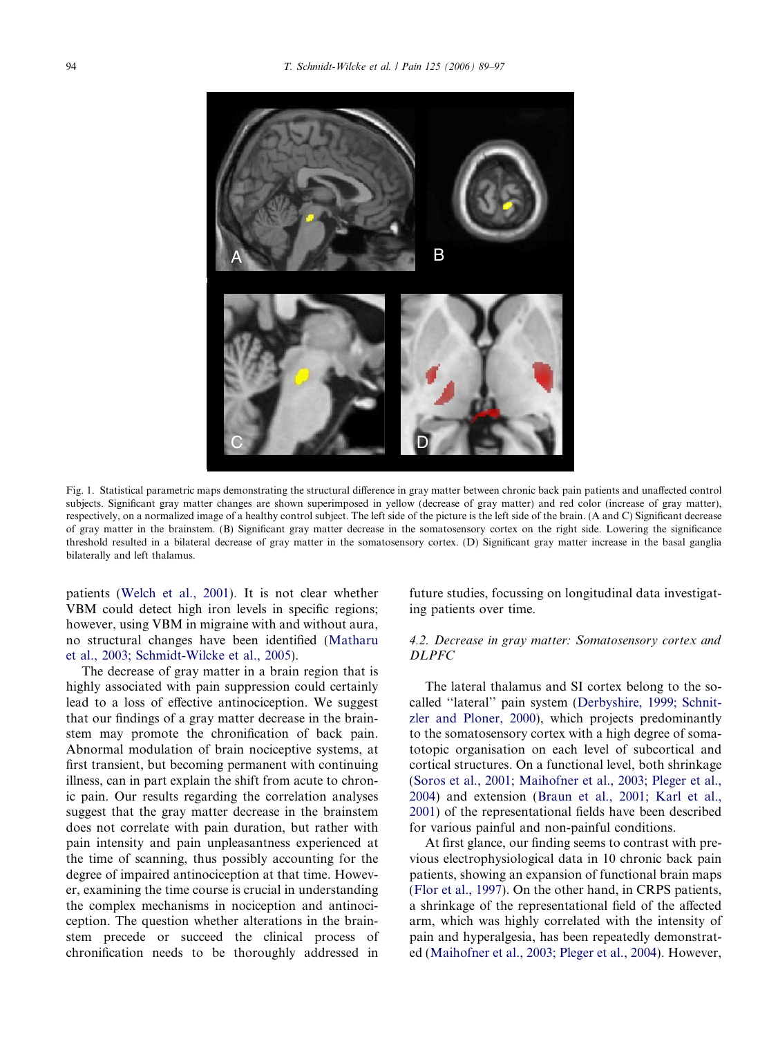<span id="page-5-0"></span>

Fig. 1. Statistical parametric maps demonstrating the structural difference in gray matter between chronic back pain patients and unaffected control subjects. Significant gray matter changes are shown superimposed in yellow (decrease of gray matter) and red color (increase of gray matter), respectively, on a normalized image of a healthy control subject. The left side of the picture is the left side of the brain. (A and C) Significant decrease of gray matter in the brainstem. (B) Significant gray matter decrease in the somatosensory cortex on the right side. Lowering the significance threshold resulted in a bilateral decrease of gray matter in the somatosensory cortex. (D) Significant gray matter increase in the basal ganglia bilaterally and left thalamus.

patients ([Welch et al., 2001\)](#page-8-0). It is not clear whether VBM could detect high iron levels in specific regions; however, using VBM in migraine with and without aura, no structural changes have been identified ([Matharu](#page-8-0) [et al., 2003; Schmidt-Wilcke et al., 2005\)](#page-8-0).

The decrease of gray matter in a brain region that is highly associated with pain suppression could certainly lead to a loss of effective antinociception. We suggest that our findings of a gray matter decrease in the brainstem may promote the chronification of back pain. Abnormal modulation of brain nociceptive systems, at first transient, but becoming permanent with continuing illness, can in part explain the shift from acute to chronic pain. Our results regarding the correlation analyses suggest that the gray matter decrease in the brainstem does not correlate with pain duration, but rather with pain intensity and pain unpleasantness experienced at the time of scanning, thus possibly accounting for the degree of impaired antinociception at that time. However, examining the time course is crucial in understanding the complex mechanisms in nociception and antinociception. The question whether alterations in the brainstem precede or succeed the clinical process of chronification needs to be thoroughly addressed in future studies, focussing on longitudinal data investigating patients over time.

# 4.2. Decrease in gray matter: Somatosensory cortex and DLPFC

The lateral thalamus and SI cortex belong to the socalled ''lateral'' pain system [\(Derbyshire, 1999; Schnit](#page-7-0)[zler and Ploner, 2000](#page-7-0)), which projects predominantly to the somatosensory cortex with a high degree of somatotopic organisation on each level of subcortical and cortical structures. On a functional level, both shrinkage ([Soros et al., 2001; Maihofner et al., 2003; Pleger et al.,](#page-8-0) [2004\)](#page-8-0) and extension ([Braun et al., 2001; Karl et al.,](#page-7-0) [2001\)](#page-7-0) of the representational fields have been described for various painful and non-painful conditions.

At first glance, our finding seems to contrast with previous electrophysiological data in 10 chronic back pain patients, showing an expansion of functional brain maps ([Flor et al., 1997](#page-7-0)). On the other hand, in CRPS patients, a shrinkage of the representational field of the affected arm, which was highly correlated with the intensity of pain and hyperalgesia, has been repeatedly demonstrated [\(Maihofner et al., 2003; Pleger et al., 2004](#page-8-0)). However,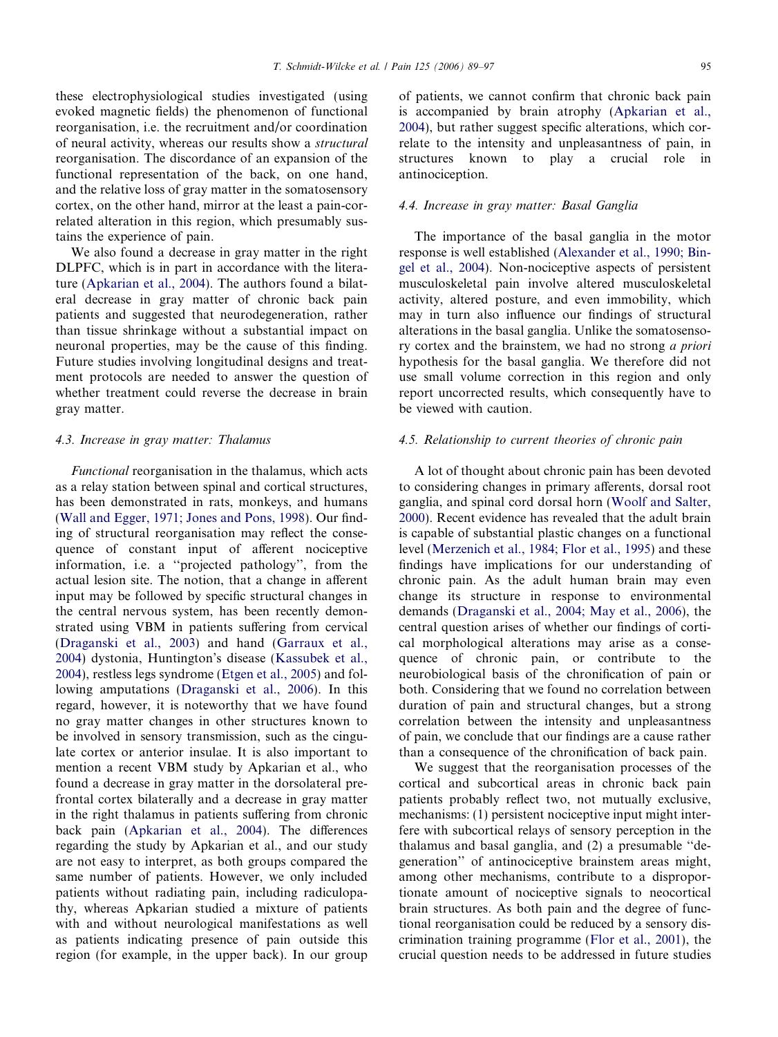these electrophysiological studies investigated (using evoked magnetic fields) the phenomenon of functional reorganisation, i.e. the recruitment and/or coordination of neural activity, whereas our results show a structural reorganisation. The discordance of an expansion of the functional representation of the back, on one hand, and the relative loss of gray matter in the somatosensory cortex, on the other hand, mirror at the least a pain-correlated alteration in this region, which presumably sustains the experience of pain.

We also found a decrease in gray matter in the right DLPFC, which is in part in accordance with the literature [\(Apkarian et al., 2004](#page-7-0)). The authors found a bilateral decrease in gray matter of chronic back pain patients and suggested that neurodegeneration, rather than tissue shrinkage without a substantial impact on neuronal properties, may be the cause of this finding. Future studies involving longitudinal designs and treatment protocols are needed to answer the question of whether treatment could reverse the decrease in brain gray matter.

## 4.3. Increase in gray matter: Thalamus

Functional reorganisation in the thalamus, which acts as a relay station between spinal and cortical structures, has been demonstrated in rats, monkeys, and humans ([Wall and Egger, 1971; Jones and Pons, 1998\)](#page-8-0). Our finding of structural reorganisation may reflect the consequence of constant input of afferent nociceptive information, i.e. a ''projected pathology'', from the actual lesion site. The notion, that a change in afferent input may be followed by specific structural changes in the central nervous system, has been recently demonstrated using VBM in patients suffering from cervical ([Draganski et al., 2003\)](#page-7-0) and hand [\(Garraux et al.,](#page-7-0) [2004](#page-7-0)) dystonia, Huntington's disease ([Kassubek et al.,](#page-8-0) [2004](#page-8-0)), restless legs syndrome ([Etgen et al., 2005\)](#page-7-0) and following amputations ([Draganski et al., 2006](#page-7-0)). In this regard, however, it is noteworthy that we have found no gray matter changes in other structures known to be involved in sensory transmission, such as the cingulate cortex or anterior insulae. It is also important to mention a recent VBM study by Apkarian et al., who found a decrease in gray matter in the dorsolateral prefrontal cortex bilaterally and a decrease in gray matter in the right thalamus in patients suffering from chronic back pain ([Apkarian et al., 2004\)](#page-7-0). The differences regarding the study by Apkarian et al., and our study are not easy to interpret, as both groups compared the same number of patients. However, we only included patients without radiating pain, including radiculopathy, whereas Apkarian studied a mixture of patients with and without neurological manifestations as well as patients indicating presence of pain outside this region (for example, in the upper back). In our group of patients, we cannot confirm that chronic back pain is accompanied by brain atrophy [\(Apkarian et al.,](#page-7-0) [2004](#page-7-0)), but rather suggest specific alterations, which correlate to the intensity and unpleasantness of pain, in structures known to play a crucial role in antinociception.

#### 4.4. Increase in gray matter: Basal Ganglia

The importance of the basal ganglia in the motor response is well established [\(Alexander et al., 1990; Bin](#page-7-0)[gel et al., 2004](#page-7-0)). Non-nociceptive aspects of persistent musculoskeletal pain involve altered musculoskeletal activity, altered posture, and even immobility, which may in turn also influence our findings of structural alterations in the basal ganglia. Unlike the somatosensory cortex and the brainstem, we had no strong a priori hypothesis for the basal ganglia. We therefore did not use small volume correction in this region and only report uncorrected results, which consequently have to be viewed with caution.

## 4.5. Relationship to current theories of chronic pain

A lot of thought about chronic pain has been devoted to considering changes in primary afferents, dorsal root ganglia, and spinal cord dorsal horn [\(Woolf and Salter,](#page-8-0) [2000](#page-8-0)). Recent evidence has revealed that the adult brain is capable of substantial plastic changes on a functional level ([Merzenich et al., 1984; Flor et al., 1995](#page-8-0)) and these findings have implications for our understanding of chronic pain. As the adult human brain may even change its structure in response to environmental demands [\(Draganski et al., 2004; May et al., 2006](#page-7-0)), the central question arises of whether our findings of cortical morphological alterations may arise as a consequence of chronic pain, or contribute to the neurobiological basis of the chronification of pain or both. Considering that we found no correlation between duration of pain and structural changes, but a strong correlation between the intensity and unpleasantness of pain, we conclude that our findings are a cause rather than a consequence of the chronification of back pain.

We suggest that the reorganisation processes of the cortical and subcortical areas in chronic back pain patients probably reflect two, not mutually exclusive, mechanisms: (1) persistent nociceptive input might interfere with subcortical relays of sensory perception in the thalamus and basal ganglia, and (2) a presumable ''degeneration'' of antinociceptive brainstem areas might, among other mechanisms, contribute to a disproportionate amount of nociceptive signals to neocortical brain structures. As both pain and the degree of functional reorganisation could be reduced by a sensory discrimination training programme ([Flor et al., 2001\)](#page-7-0), the crucial question needs to be addressed in future studies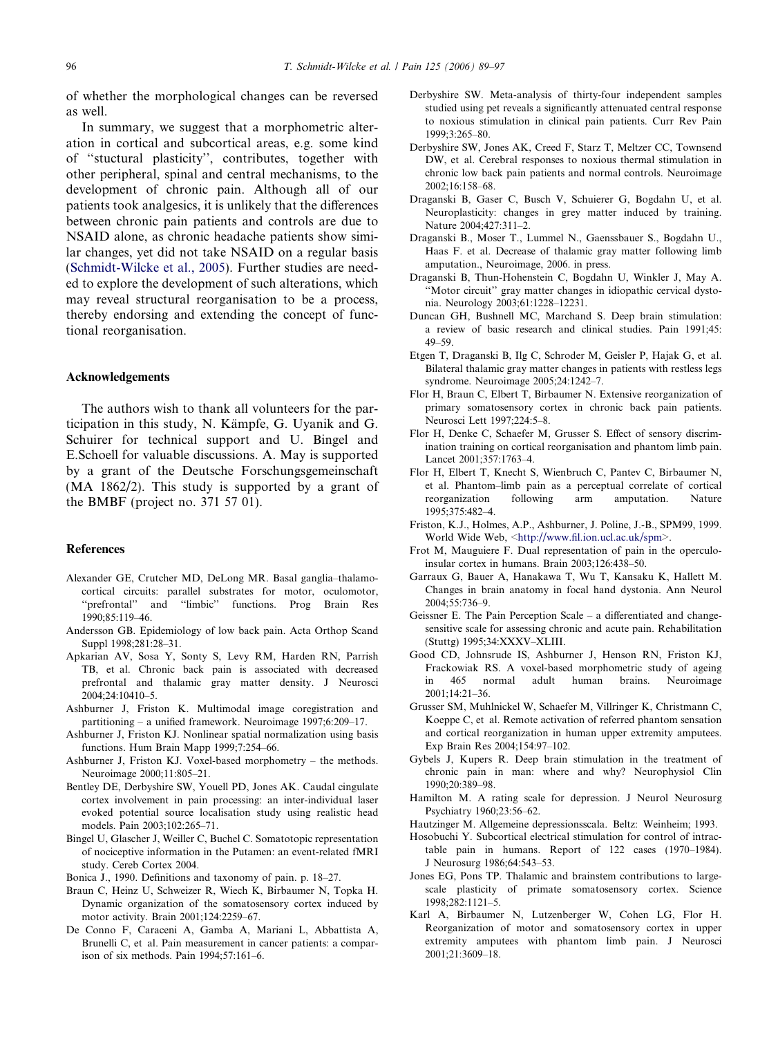<span id="page-7-0"></span>of whether the morphological changes can be reversed as well.

In summary, we suggest that a morphometric alteration in cortical and subcortical areas, e.g. some kind of ''stuctural plasticity'', contributes, together with other peripheral, spinal and central mechanisms, to the development of chronic pain. Although all of our patients took analgesics, it is unlikely that the differences between chronic pain patients and controls are due to NSAID alone, as chronic headache patients show similar changes, yet did not take NSAID on a regular basis ([Schmidt-Wilcke et al., 2005](#page-8-0)). Further studies are needed to explore the development of such alterations, which may reveal structural reorganisation to be a process, thereby endorsing and extending the concept of functional reorganisation.

#### Acknowledgements

The authors wish to thank all volunteers for the participation in this study, N. Kämpfe, G. Uyanik and G. Schuirer for technical support and U. Bingel and E.Schoell for valuable discussions. A. May is supported by a grant of the Deutsche Forschungsgemeinschaft (MA 1862/2). This study is supported by a grant of the BMBF (project no. 371 57 01).

## References

- Alexander GE, Crutcher MD, DeLong MR. Basal ganglia–thalamocortical circuits: parallel substrates for motor, oculomotor, ''prefrontal'' and ''limbic'' functions. Prog Brain Res 1990;85:119–46.
- Andersson GB. Epidemiology of low back pain. Acta Orthop Scand Suppl 1998;281:28–31.
- Apkarian AV, Sosa Y, Sonty S, Levy RM, Harden RN, Parrish TB, et al. Chronic back pain is associated with decreased prefrontal and thalamic gray matter density. J Neurosci 2004;24:10410–5.
- Ashburner J, Friston K. Multimodal image coregistration and partitioning – a unified framework. Neuroimage 1997;6:209–17.
- Ashburner J, Friston KJ. Nonlinear spatial normalization using basis functions. Hum Brain Mapp 1999;7:254–66.
- Ashburner J, Friston KJ. Voxel-based morphometry the methods. Neuroimage 2000;11:805–21.
- Bentley DE, Derbyshire SW, Youell PD, Jones AK. Caudal cingulate cortex involvement in pain processing: an inter-individual laser evoked potential source localisation study using realistic head models. Pain 2003;102:265–71.
- Bingel U, Glascher J, Weiller C, Buchel C. Somatotopic representation of nociceptive information in the Putamen: an event-related fMRI study. Cereb Cortex 2004.
- Bonica J., 1990. Definitions and taxonomy of pain. p. 18–27.
- Braun C, Heinz U, Schweizer R, Wiech K, Birbaumer N, Topka H. Dynamic organization of the somatosensory cortex induced by motor activity. Brain 2001;124:2259–67.
- De Conno F, Caraceni A, Gamba A, Mariani L, Abbattista A, Brunelli C, et al. Pain measurement in cancer patients: a comparison of six methods. Pain 1994;57:161–6.
- Derbyshire SW. Meta-analysis of thirty-four independent samples studied using pet reveals a significantly attenuated central response to noxious stimulation in clinical pain patients. Curr Rev Pain 1999;3:265–80.
- Derbyshire SW, Jones AK, Creed F, Starz T, Meltzer CC, Townsend DW, et al. Cerebral responses to noxious thermal stimulation in chronic low back pain patients and normal controls. Neuroimage 2002;16:158–68.
- Draganski B, Gaser C, Busch V, Schuierer G, Bogdahn U, et al. Neuroplasticity: changes in grey matter induced by training. Nature 2004;427:311–2.
- Draganski B., Moser T., Lummel N., Gaenssbauer S., Bogdahn U., Haas F. et al. Decrease of thalamic gray matter following limb amputation., Neuroimage, 2006. in press.
- Draganski B, Thun-Hohenstein C, Bogdahn U, Winkler J, May A. ''Motor circuit'' gray matter changes in idiopathic cervical dystonia. Neurology 2003;61:1228–12231.
- Duncan GH, Bushnell MC, Marchand S. Deep brain stimulation: a review of basic research and clinical studies. Pain 1991;45: 49–59.
- Etgen T, Draganski B, Ilg C, Schroder M, Geisler P, Hajak G, et al. Bilateral thalamic gray matter changes in patients with restless legs syndrome. Neuroimage 2005;24:1242–7.
- Flor H, Braun C, Elbert T, Birbaumer N. Extensive reorganization of primary somatosensory cortex in chronic back pain patients. Neurosci Lett 1997;224:5–8.
- Flor H, Denke C, Schaefer M, Grusser S. Effect of sensory discrimination training on cortical reorganisation and phantom limb pain. Lancet 2001;357:1763–4.
- Flor H, Elbert T, Knecht S, Wienbruch C, Pantev C, Birbaumer N, et al. Phantom–limb pain as a perceptual correlate of cortical reorganization following arm amputation. Nature 1995;375:482–4.
- Friston, K.J., Holmes, A.P., Ashburner, J. Poline, J.-B., SPM99, 1999. World Wide Web, <<http://www.fil.ion.ucl.ac.uk/spm>>.
- Frot M, Mauguiere F. Dual representation of pain in the operculoinsular cortex in humans. Brain 2003;126:438–50.
- Garraux G, Bauer A, Hanakawa T, Wu T, Kansaku K, Hallett M. Changes in brain anatomy in focal hand dystonia. Ann Neurol 2004;55:736–9.
- Geissner E. The Pain Perception Scale a differentiated and changesensitive scale for assessing chronic and acute pain. Rehabilitation (Stuttg) 1995;34:XXXV–XLIII.
- Good CD, Johnsrude IS, Ashburner J, Henson RN, Friston KJ, Frackowiak RS. A voxel-based morphometric study of ageing in 465 normal adult human brains. Neuroimage 2001;14:21–36.
- Grusser SM, Muhlnickel W, Schaefer M, Villringer K, Christmann C, Koeppe C, et al. Remote activation of referred phantom sensation and cortical reorganization in human upper extremity amputees. Exp Brain Res 2004;154:97–102.
- Gybels J, Kupers R. Deep brain stimulation in the treatment of chronic pain in man: where and why? Neurophysiol Clin 1990;20:389–98.
- Hamilton M. A rating scale for depression. J Neurol Neurosurg Psychiatry 1960;23:56–62.
- Hautzinger M. Allgemeine depressionsscala. Beltz: Weinheim; 1993.
- Hosobuchi Y. Subcortical electrical stimulation for control of intractable pain in humans. Report of 122 cases (1970–1984). J Neurosurg 1986;64:543–53.
- Jones EG, Pons TP. Thalamic and brainstem contributions to largescale plasticity of primate somatosensory cortex. Science 1998;282:1121–5.
- Karl A, Birbaumer N, Lutzenberger W, Cohen LG, Flor H. Reorganization of motor and somatosensory cortex in upper extremity amputees with phantom limb pain. J Neurosci 2001;21:3609–18.